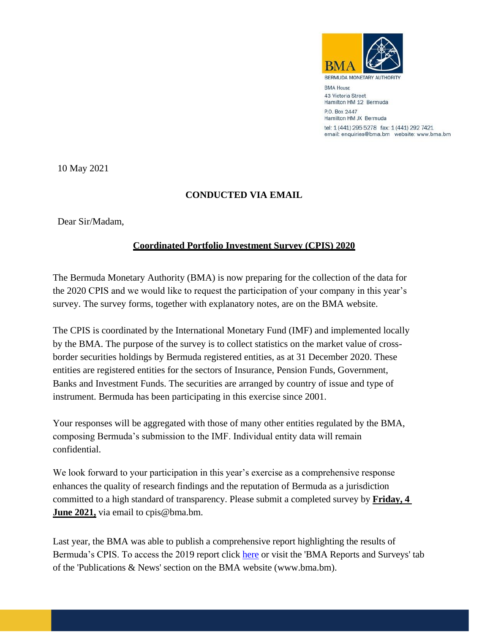

**BMA House** 43 Victoria Street Hamilton HM 12 Bermuda

P.O. Box 2447 Hamilton HM JX Bermuda tel: 1 (441) 295 5278 fax: 1 (441) 292 7421 email: enquiries@bma.bm website: www.bma.bm

10 May 2021

## **CONDUCTED VIA EMAIL**

Dear Sir/Madam,

## **Coordinated Portfolio Investment Survey (CPIS) 2020**

The Bermuda Monetary Authority (BMA) is now preparing for the collection of the data for the 2020 CPIS and we would like to request the participation of your company in this year's survey. The survey forms, together with explanatory notes, are on the BMA website.

The CPIS is coordinated by the International Monetary Fund (IMF) and implemented locally by the BMA. The purpose of the survey is to collect statistics on the market value of crossborder securities holdings by Bermuda registered entities, as at 31 December 2020. These entities are registered entities for the sectors of Insurance, Pension Funds, Government, Banks and Investment Funds. The securities are arranged by country of issue and type of instrument. Bermuda has been participating in this exercise since 2001.

Your responses will be aggregated with those of many other entities regulated by the BMA, composing Bermuda's submission to the IMF. Individual entity data will remain confidential.

We look forward to your participation in this year's exercise as a comprehensive response enhances the quality of research findings and the reputation of Bermuda as a jurisdiction committed to a high standard of transparency. Please submit a completed survey by **Friday, 4 June 2021,** via email to cpis@bma.bm.

Last year, the BMA was able to publish a comprehensive report highlighting the results of Bermuda's CPIS. To access the 2019 report click [here](https://www.bma.bm/pdfview/5171) or visit the 'BMA Reports and Surveys' tab of the 'Publications & News' section on the BMA website (www.bma.bm).